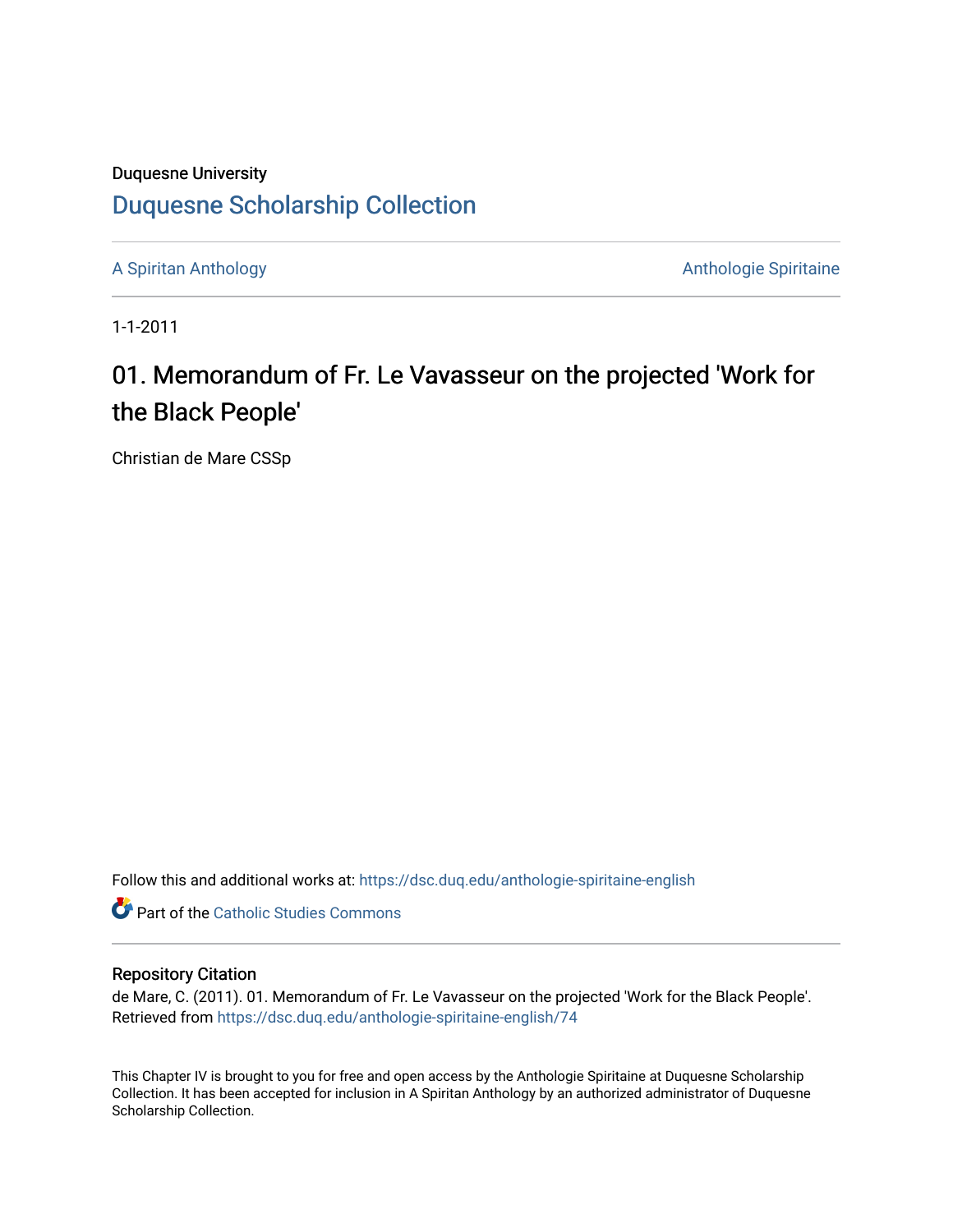## Duquesne University [Duquesne Scholarship Collection](https://dsc.duq.edu/)

[A Spiritan Anthology](https://dsc.duq.edu/anthologie-spiritaine-english) **Anthology** Anthologie Spiritaine

1-1-2011

## 01. Memorandum of Fr. Le Vavasseur on the projected 'Work for the Black People'

Christian de Mare CSSp

Follow this and additional works at: [https://dsc.duq.edu/anthologie-spiritaine-english](https://dsc.duq.edu/anthologie-spiritaine-english?utm_source=dsc.duq.edu%2Fanthologie-spiritaine-english%2F74&utm_medium=PDF&utm_campaign=PDFCoverPages)

**Part of the [Catholic Studies Commons](http://network.bepress.com/hgg/discipline/1294?utm_source=dsc.duq.edu%2Fanthologie-spiritaine-english%2F74&utm_medium=PDF&utm_campaign=PDFCoverPages)** 

## Repository Citation

de Mare, C. (2011). 01. Memorandum of Fr. Le Vavasseur on the projected 'Work for the Black People'. Retrieved from [https://dsc.duq.edu/anthologie-spiritaine-english/74](https://dsc.duq.edu/anthologie-spiritaine-english/74?utm_source=dsc.duq.edu%2Fanthologie-spiritaine-english%2F74&utm_medium=PDF&utm_campaign=PDFCoverPages)

This Chapter IV is brought to you for free and open access by the Anthologie Spiritaine at Duquesne Scholarship Collection. It has been accepted for inclusion in A Spiritan Anthology by an authorized administrator of Duquesne Scholarship Collection.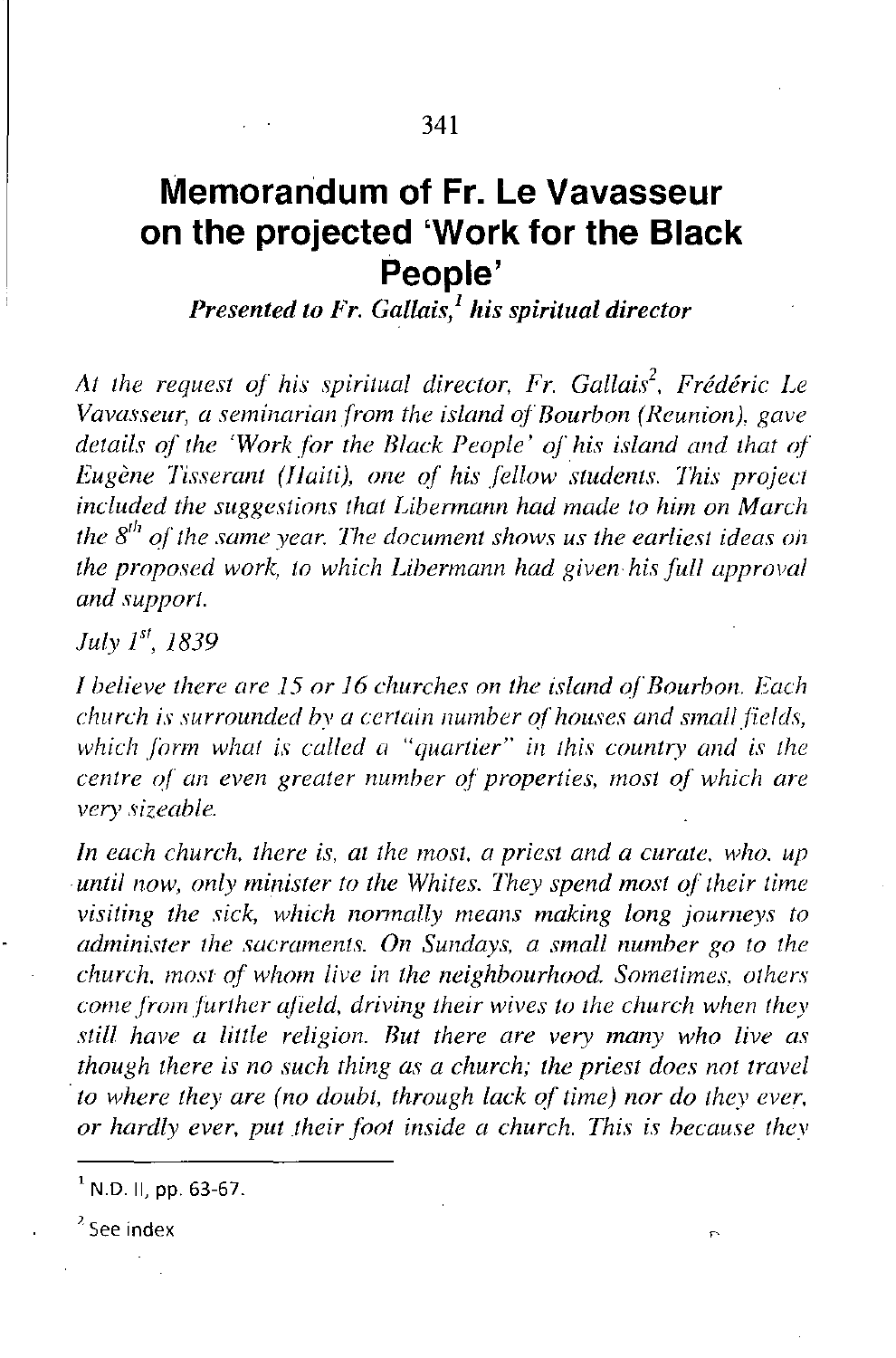## **Memorandum of Fr. Le Vavasseur on the projected 'Work for the Black People'**

*Presented to Fr. Gallais,<sup>l</sup> his spiritual director*

*At the request or his spiritual director. Fr. Gallaii. Frederic Le Vavasseur, a seminarian from the island ofBourbon (Reunion), gave details or the 'Work for the Black People' his island and that 0/ Eugene Tisserant (/Jaiti), one* 0/ *his fellow students. This project included the suggestions that Libermann had made to him on March the 8fh 0/ the same year. 171e document shows us the earliest ideas 0;' the proposed work, to which Libermann had given his full approval and support.*

*July* 1", 1839

*1 believe there are* 15 *or* 16 *churches on the island o/Bourbon. Each church is surrounded bv a certain number of houses and small/ields, which form what is called a "quartier" in this country and is the centre of an even greater number 0/ properties, most 0/ which are very sizeable.*

*In each church. there is, at the most, a priest and a curate, who. up .until now, only minister to the Whites, 171ey spend most o/"their time visiting the sick, which normally means making long journeys to administer the sacraments. On Sundays, a small number go to the church. most or whom live in the neighbourhood. Sometimes. others come/rom further afield, driving their wives to the church when they still have a lillie religion. But there are very many who live as though there is no such thing as a church; the priest does not travel .to where they are (no doubt, through lack o/time) nor do they ever. or hardly ever. put their foot inside a church. 171is is because thev*

 $<sup>1</sup>$  N.D. II, pp. 63-67.</sup>

<sup>?</sup> See **index**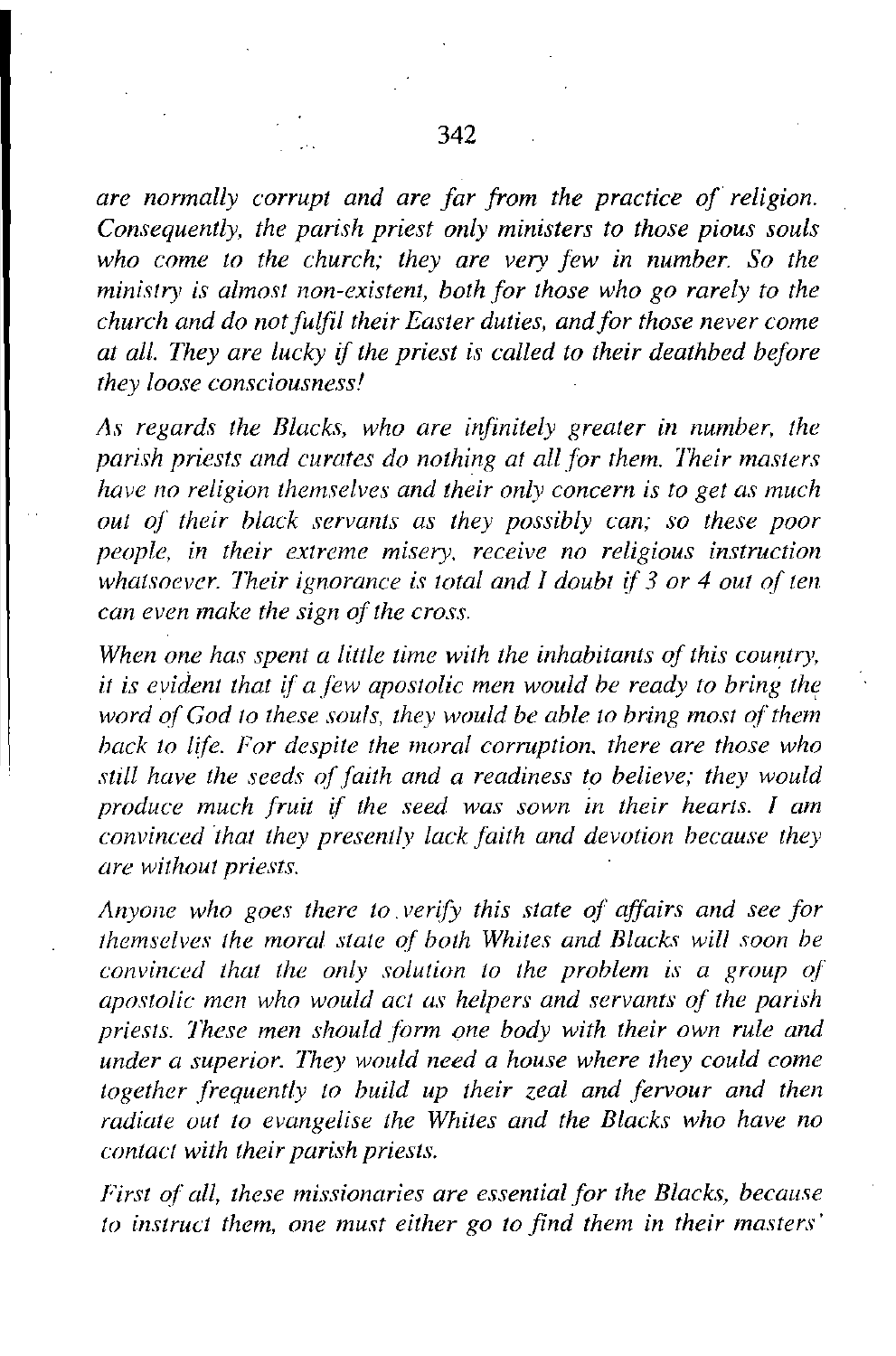*are normally corrupt and are far from the practice oj religion. Consequently, the parish priest only ministers to those pious souls who come to the church; they are very few in number. So the ministry is almost non-existent, both for those who go rarely to the church and do notfulfil their Easter duties, andfor those never come at all. They are lucky* if *the priest* is *called to their deathbed before they loose consciousness!*

*As regards the Blacks, who are infinitely greater in number, the parish priests and curates do nothing at all for them. Their masters have no religion themselves and their only concern is to get as much out o{ their black servants as they possibly can; so these poor people, in their extreme misery. receive no religious instruction whatsoever. lheir ignorance* is *total and I doubt* i{ 3 *or* 4 *out of ten can even make the sign o{ the cross.*

*When one has spent a little time with the inhabitants of this country, it is evident that i{ a few apostolic men would be ready to bring word of God to these souls, they would be able to bring most of them back to life. For despite the moral corruption. there are those who still have the seeds (){faith and a readiness to believe; they would produce much fruit if the seed was sown in their hearts. I am convinced ihat they presently lack faith and devotion because they are without priests.*

*Anyone who goes there to. verify this state of affairs and see for themselves the moral state o{ both Whites and Blacks will soon be convinced that the only solution to the problem is a group o{ apostolic men who would act as helpers and servants of the parish priests. lhese men should .f{Jrm one body with their own rule and under a superior. lhey would need a house where they could come together frequently to build up their zeal and fervour and then radiate out to evangelise the Whites and the Blacks who have no contact with their parish priests.*

*First o{ all, these missionaries are essential for the Blacks, because to instruct them, one must either go to find them in their masters'*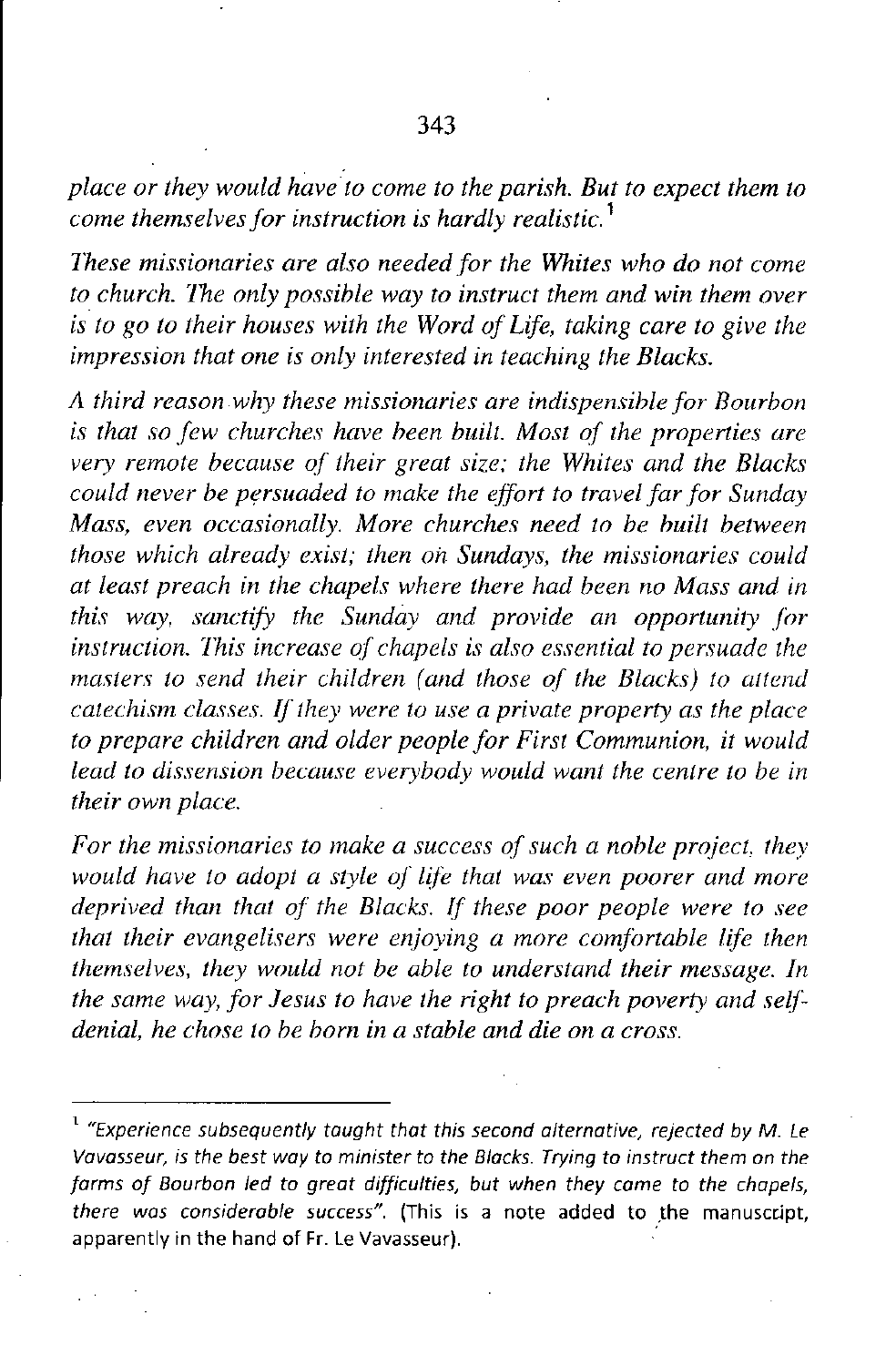*place or they would haveto come to the parish. But to expect them to come themselves for instruction is hardly realistic.* <sup>1</sup>

*These missionaries are also needed for the Whites who do not come to church. Ihe only possible way to instruct them and win them over is to go to their houses with the Word of Life, taking care to give the impression that one is only interested in teaching the Blacks.*

*A third reason why these missionaries are indispensible for Bourbon is that so few churches have been built. Most of the properties are very remote because of their great size; the Whites and the Blacks could never be persuaded to make the effort to travel far for Sunday Mass, even occasionally. More churches need to be built between those which already exist; then on Sundays, the missionaries could at least preach in the chapels where there had been no Mass and in this* way, *sanctify the Sunday and provide an opportunity for instruction. Ihis increase of chapels is also essential to persuade the masters* to send their children (and those of the Blacks) to attend *catechism classes. IF they were to use a private property as the place to prepare children and older people for First Communion, it would lead to dissension because everybody would want the centre to be in their own place.*

*For the missionaries to make a success of such a noble project, they would have to adopt a style of life that was even poorer and more deprived than that of the Blacks. If these poor people were to see that their evangelisers were enjoving a more comfortable life then themselves, they would not be able to understand their message. In the same way, for Jesus to have the right to preach poverty and seir denial, he chose to be born in a stable and die on a cross.*

**<sup>1</sup>** *"Experience subsequently taught thot this second alternative, rejected by* **M.** *Le Vavasseur, is the best way* **to** *minister* **to** *the Blacks. Trying* **to** *instruct them on the farms of Bourbon led to great difficulties, but when they came to the chapels, there was considerable success",* **(This is a note added to .the manu5cr.Jpt,** apparently in the hand of Fr. Le Vavasseur).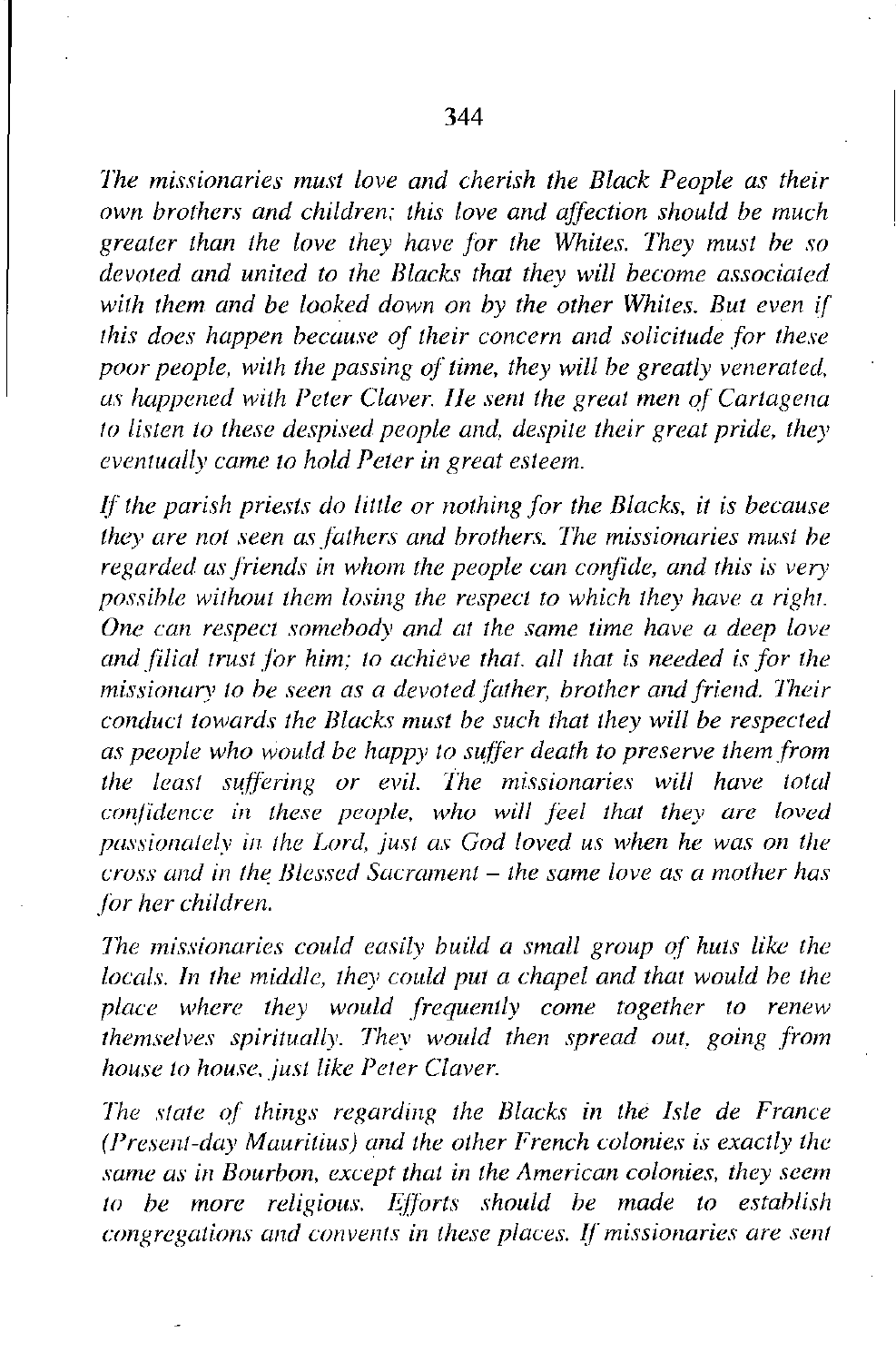*Ihe missionaries must love and cherish the Black People as their own brothers and children: this love and affection should be much greater than the love they have for the Whites. Ihey must be so devoted and united to the Blacks that they will become associated with them and be looked down on by the other Whites. But even if this does happen because of their concern and solicitude for these poor people, with the passing of time, they will be greatly venerated, liS happened with Peter Claver. lIe sent the great men <sup>01</sup>' Cartlige/1a to listen to these despised people and, despite their great pride, they eventually came to hold Peter in great esteem.* 

*If the parish priests do little or nothing for the Blacks. it* is *because they are not seen a5 fathers and brothers. Ihe missionaries must be regarded as friends in whom the people can confide, and this is very possible* without them losing the respect to which they have a right. *One Clin respect somebody and at the same time have li deep love and filial trust for him; to achieve that. all that is needed is for the missionliry to be seen as a devoted father, brother and friend. Iheir conduct towards the Blacks must be such that they will be respected as people who would be happy to suffer death to preserve them from the least suffering or evil. Ihe missionaries will have totlil confidence in these people. who will feel that they are loved passionately in the Lord, just as God loved us when he was on the cross lind in the Blessed Sacrament* - *the same love as a mother has for her children.*

*Ihe missionaries could easily build a small group of huts like the locals. In the middle, they could put a chapel and that would be the place where they would frequently come together to renew themselves spiritually. Ihey would then spread out. going from house to house. just like Peter Claver.*

*Ihe state of things regarding the Blacks in the Isle de France (Present-day Mauritius) and the other French colonies is exactly the same as* in *Bourbon, except that in the American colonies, they seem to be more religious. Efforts should be made to establish congregations and convents in these places. If missionaries are sent*